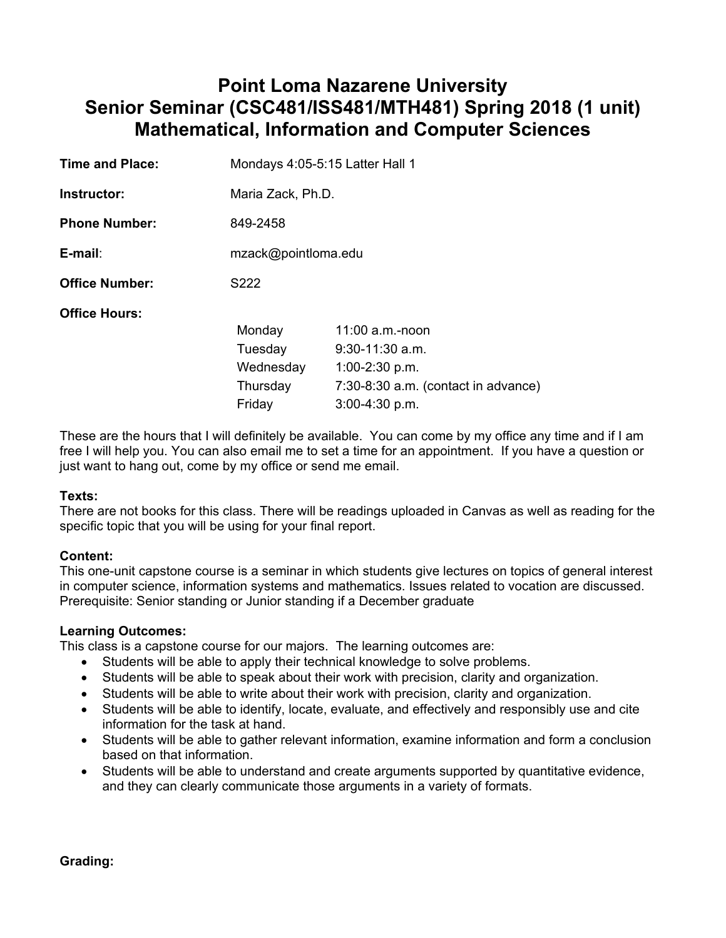# **Point Loma Nazarene University Senior Seminar (CSC481/ISS481/MTH481) Spring 2018 (1 unit) Mathematical, Information and Computer Sciences**

| <b>Time and Place:</b> | Mondays 4:05-5:15 Latter Hall 1 |                                       |  |  |  |
|------------------------|---------------------------------|---------------------------------------|--|--|--|
| Instructor:            | Maria Zack, Ph.D.               |                                       |  |  |  |
| <b>Phone Number:</b>   | 849-2458                        |                                       |  |  |  |
| E-mail:                | mzack@pointloma.edu             |                                       |  |  |  |
| <b>Office Number:</b>  | S222                            |                                       |  |  |  |
| Office Hours:          |                                 |                                       |  |  |  |
|                        | Monday                          | $11:00$ a.m.-noon                     |  |  |  |
|                        | Tuesday                         | $9:30-11:30$ a.m.                     |  |  |  |
|                        | Wednesday                       | $1:00-2:30$ p.m.                      |  |  |  |
|                        | Thursday                        | $7:30-8:30$ a.m. (contact in advance) |  |  |  |
|                        | Friday                          | $3:00-4:30$ p.m.                      |  |  |  |
|                        |                                 |                                       |  |  |  |

These are the hours that I will definitely be available. You can come by my office any time and if I am free I will help you. You can also email me to set a time for an appointment. If you have a question or just want to hang out, come by my office or send me email.

# **Texts:**

There are not books for this class. There will be readings uploaded in Canvas as well as reading for the specific topic that you will be using for your final report.

# **Content:**

This one-unit capstone course is a seminar in which students give lectures on topics of general interest in computer science, information systems and mathematics. Issues related to vocation are discussed. Prerequisite: Senior standing or Junior standing if a December graduate

# **Learning Outcomes:**

This class is a capstone course for our majors. The learning outcomes are:

- Students will be able to apply their technical knowledge to solve problems.
- Students will be able to speak about their work with precision, clarity and organization.
- Students will be able to write about their work with precision, clarity and organization.
- Students will be able to identify, locate, evaluate, and effectively and responsibly use and cite information for the task at hand.
- Students will be able to gather relevant information, examine information and form a conclusion based on that information.
- Students will be able to understand and create arguments supported by quantitative evidence, and they can clearly communicate those arguments in a variety of formats.

**Grading:**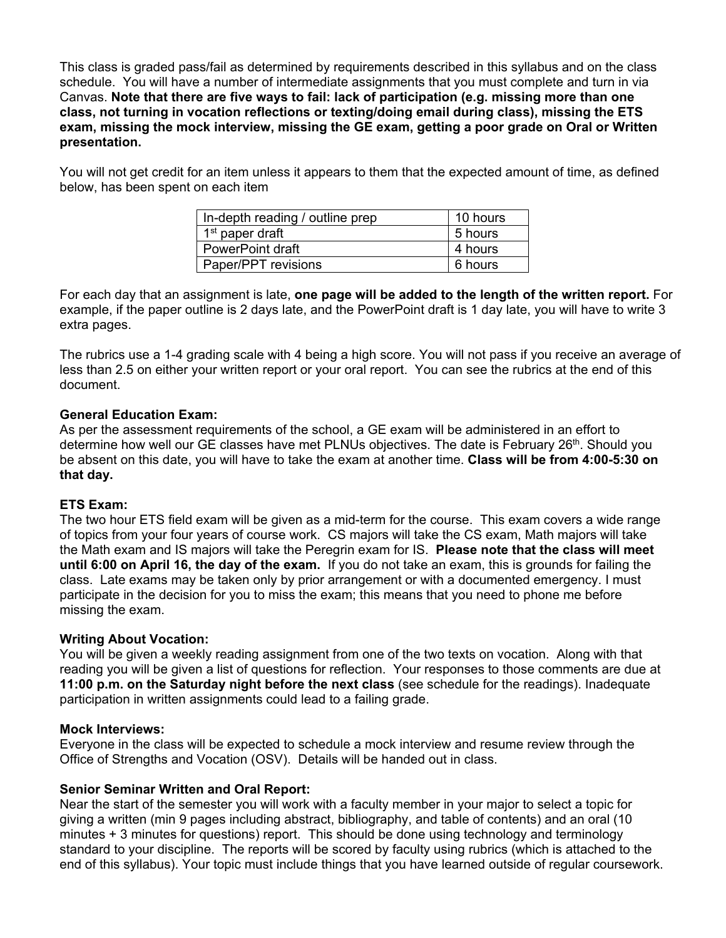This class is graded pass/fail as determined by requirements described in this syllabus and on the class schedule. You will have a number of intermediate assignments that you must complete and turn in via Canvas. **Note that there are five ways to fail: lack of participation (e.g. missing more than one class, not turning in vocation reflections or texting/doing email during class), missing the ETS exam, missing the mock interview, missing the GE exam, getting a poor grade on Oral or Written presentation.** 

You will not get credit for an item unless it appears to them that the expected amount of time, as defined below, has been spent on each item

| In-depth reading / outline prep | 10 hours |
|---------------------------------|----------|
| 1 <sup>st</sup> paper draft     | 5 hours  |
| PowerPoint draft                | 4 hours  |
| Paper/PPT revisions             | 6 hours  |

For each day that an assignment is late, **one page will be added to the length of the written report.** For example, if the paper outline is 2 days late, and the PowerPoint draft is 1 day late, you will have to write 3 extra pages.

The rubrics use a 1-4 grading scale with 4 being a high score. You will not pass if you receive an average of less than 2.5 on either your written report or your oral report. You can see the rubrics at the end of this document.

# **General Education Exam:**

As per the assessment requirements of the school, a GE exam will be administered in an effort to determine how well our GE classes have met PLNUs objectives. The date is February 26<sup>th</sup>. Should you be absent on this date, you will have to take the exam at another time. **Class will be from 4:00-5:30 on that day.** 

# **ETS Exam:**

The two hour ETS field exam will be given as a mid-term for the course. This exam covers a wide range of topics from your four years of course work. CS majors will take the CS exam, Math majors will take the Math exam and IS majors will take the Peregrin exam for IS. **Please note that the class will meet until 6:00 on April 16, the day of the exam.** If you do not take an exam, this is grounds for failing the class. Late exams may be taken only by prior arrangement or with a documented emergency. I must participate in the decision for you to miss the exam; this means that you need to phone me before missing the exam.

#### **Writing About Vocation:**

You will be given a weekly reading assignment from one of the two texts on vocation. Along with that reading you will be given a list of questions for reflection. Your responses to those comments are due at **11:00 p.m. on the Saturday night before the next class** (see schedule for the readings). Inadequate participation in written assignments could lead to a failing grade.

#### **Mock Interviews:**

Everyone in the class will be expected to schedule a mock interview and resume review through the Office of Strengths and Vocation (OSV). Details will be handed out in class.

# **Senior Seminar Written and Oral Report:**

Near the start of the semester you will work with a faculty member in your major to select a topic for giving a written (min 9 pages including abstract, bibliography, and table of contents) and an oral (10 minutes + 3 minutes for questions) report. This should be done using technology and terminology standard to your discipline. The reports will be scored by faculty using rubrics (which is attached to the end of this syllabus). Your topic must include things that you have learned outside of regular coursework.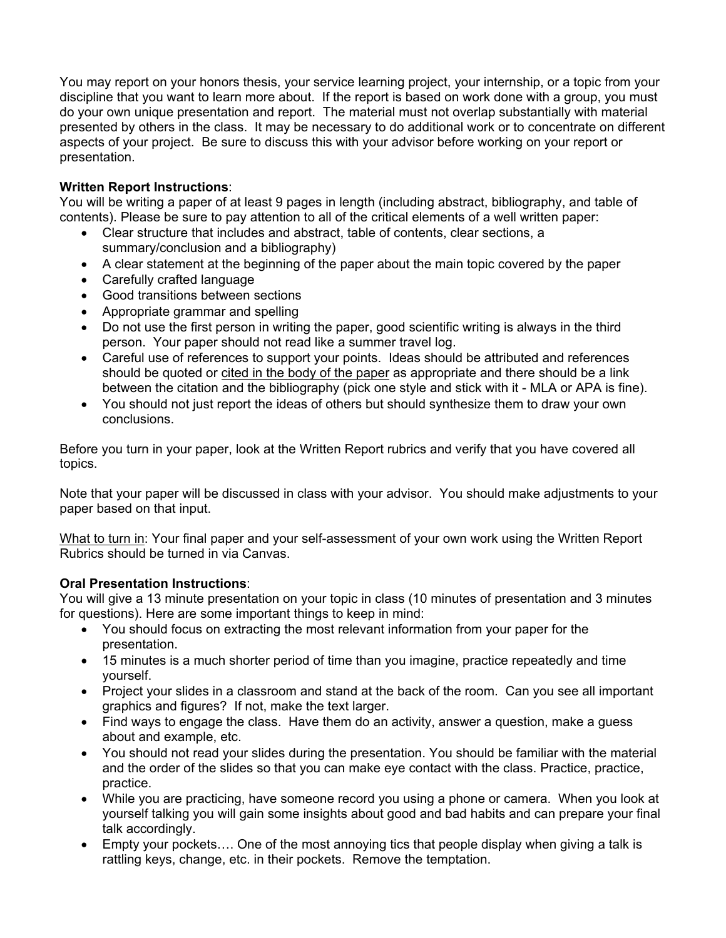You may report on your honors thesis, your service learning project, your internship, or a topic from your discipline that you want to learn more about. If the report is based on work done with a group, you must do your own unique presentation and report. The material must not overlap substantially with material presented by others in the class. It may be necessary to do additional work or to concentrate on different aspects of your project. Be sure to discuss this with your advisor before working on your report or presentation.

# **Written Report Instructions**:

You will be writing a paper of at least 9 pages in length (including abstract, bibliography, and table of contents). Please be sure to pay attention to all of the critical elements of a well written paper:

- Clear structure that includes and abstract, table of contents, clear sections, a summary/conclusion and a bibliography)
- A clear statement at the beginning of the paper about the main topic covered by the paper
- Carefully crafted language
- Good transitions between sections
- Appropriate grammar and spelling
- Do not use the first person in writing the paper, good scientific writing is always in the third person. Your paper should not read like a summer travel log.
- Careful use of references to support your points. Ideas should be attributed and references should be quoted or cited in the body of the paper as appropriate and there should be a link between the citation and the bibliography (pick one style and stick with it - MLA or APA is fine).
- You should not just report the ideas of others but should synthesize them to draw your own conclusions.

Before you turn in your paper, look at the Written Report rubrics and verify that you have covered all topics.

Note that your paper will be discussed in class with your advisor. You should make adjustments to your paper based on that input.

What to turn in: Your final paper and your self-assessment of your own work using the Written Report Rubrics should be turned in via Canvas.

# **Oral Presentation Instructions**:

You will give a 13 minute presentation on your topic in class (10 minutes of presentation and 3 minutes for questions). Here are some important things to keep in mind:

- You should focus on extracting the most relevant information from your paper for the presentation.
- 15 minutes is a much shorter period of time than you imagine, practice repeatedly and time yourself.
- Project your slides in a classroom and stand at the back of the room. Can you see all important graphics and figures? If not, make the text larger.
- Find ways to engage the class. Have them do an activity, answer a question, make a guess about and example, etc.
- You should not read your slides during the presentation. You should be familiar with the material and the order of the slides so that you can make eye contact with the class. Practice, practice, practice.
- While you are practicing, have someone record you using a phone or camera. When you look at yourself talking you will gain some insights about good and bad habits and can prepare your final talk accordingly.
- Empty your pockets.... One of the most annoying tics that people display when giving a talk is rattling keys, change, etc. in their pockets. Remove the temptation.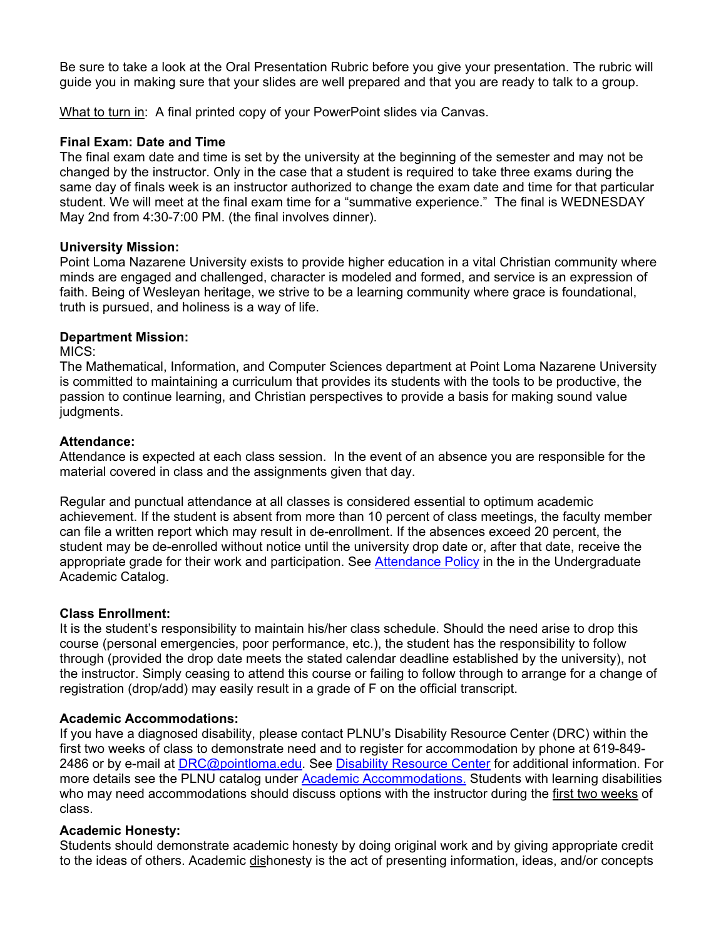Be sure to take a look at the Oral Presentation Rubric before you give your presentation. The rubric will guide you in making sure that your slides are well prepared and that you are ready to talk to a group.

What to turn in: A final printed copy of your PowerPoint slides via Canvas.

### **Final Exam: Date and Time**

The final exam date and time is set by the university at the beginning of the semester and may not be changed by the instructor. Only in the case that a student is required to take three exams during the same day of finals week is an instructor authorized to change the exam date and time for that particular student. We will meet at the final exam time for a "summative experience." The final is WEDNESDAY May 2nd from 4:30-7:00 PM. (the final involves dinner).

# **University Mission:**

Point Loma Nazarene University exists to provide higher education in a vital Christian community where minds are engaged and challenged, character is modeled and formed, and service is an expression of faith. Being of Wesleyan heritage, we strive to be a learning community where grace is foundational, truth is pursued, and holiness is a way of life.

#### **Department Mission:**

#### MICS<sup>-</sup>

The Mathematical, Information, and Computer Sciences department at Point Loma Nazarene University is committed to maintaining a curriculum that provides its students with the tools to be productive, the passion to continue learning, and Christian perspectives to provide a basis for making sound value judgments.

#### **Attendance:**

Attendance is expected at each class session. In the event of an absence you are responsible for the material covered in class and the assignments given that day.

Regular and punctual attendance at all classes is considered essential to optimum academic achievement. If the student is absent from more than 10 percent of class meetings, the faculty member can file a written report which may result in de-enrollment. If the absences exceed 20 percent, the student may be de-enrolled without notice until the university drop date or, after that date, receive the appropriate grade for their work and participation. See Attendance Policy in the in the Undergraduate Academic Catalog.

# **Class Enrollment:**

It is the student's responsibility to maintain his/her class schedule. Should the need arise to drop this course (personal emergencies, poor performance, etc.), the student has the responsibility to follow through (provided the drop date meets the stated calendar deadline established by the university), not the instructor. Simply ceasing to attend this course or failing to follow through to arrange for a change of registration (drop/add) may easily result in a grade of F on the official transcript.

# **Academic Accommodations:**

If you have a diagnosed disability, please contact PLNU's Disability Resource Center (DRC) within the first two weeks of class to demonstrate need and to register for accommodation by phone at 619-849- 2486 or by e-mail at DRC@pointloma.edu. See Disability Resource Center for additional information. For more details see the PLNU catalog under Academic Accommodations. Students with learning disabilities who may need accommodations should discuss options with the instructor during the first two weeks of class.

# **Academic Honesty:**

Students should demonstrate academic honesty by doing original work and by giving appropriate credit to the ideas of others. Academic dishonesty is the act of presenting information, ideas, and/or concepts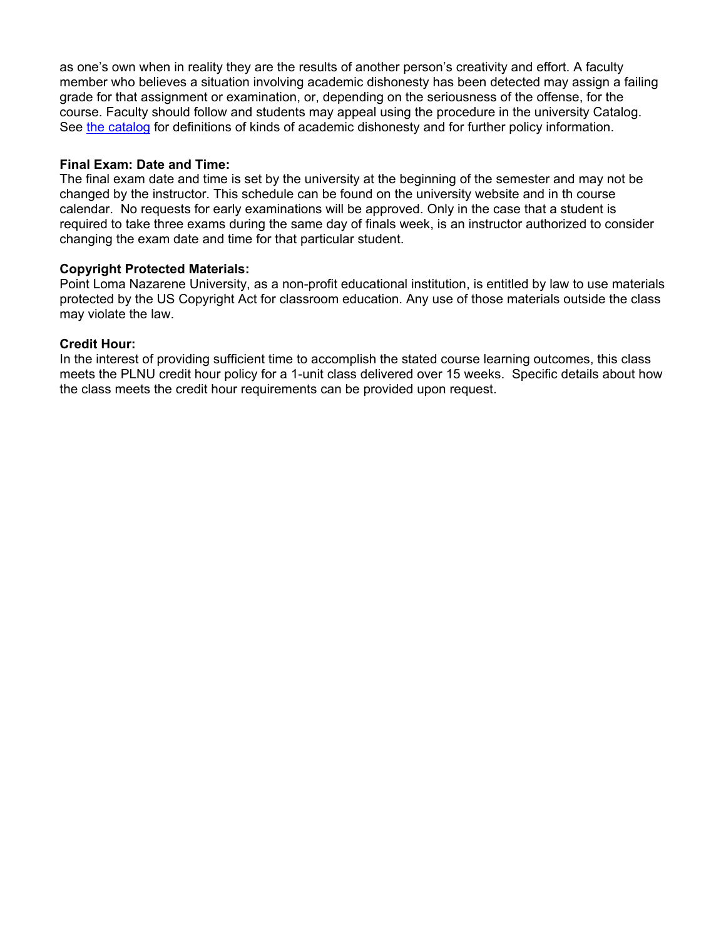as one's own when in reality they are the results of another person's creativity and effort. A faculty member who believes a situation involving academic dishonesty has been detected may assign a failing grade for that assignment or examination, or, depending on the seriousness of the offense, for the course. Faculty should follow and students may appeal using the procedure in the university Catalog. See the catalog for definitions of kinds of academic dishonesty and for further policy information.

#### **Final Exam: Date and Time:**

The final exam date and time is set by the university at the beginning of the semester and may not be changed by the instructor. This schedule can be found on the university website and in th course calendar. No requests for early examinations will be approved. Only in the case that a student is required to take three exams during the same day of finals week, is an instructor authorized to consider changing the exam date and time for that particular student.

#### **Copyright Protected Materials:**

Point Loma Nazarene University, as a non-profit educational institution, is entitled by law to use materials protected by the US Copyright Act for classroom education. Any use of those materials outside the class may violate the law.

#### **Credit Hour:**

In the interest of providing sufficient time to accomplish the stated course learning outcomes, this class meets the PLNU credit hour policy for a 1-unit class delivered over 15 weeks. Specific details about how the class meets the credit hour requirements can be provided upon request.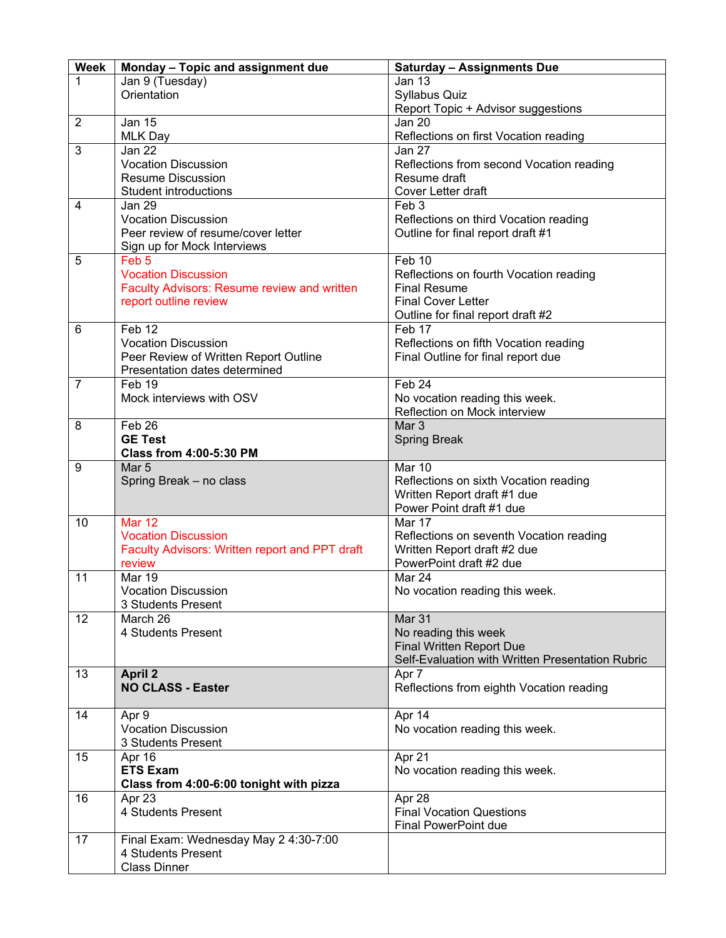| <b>Week</b>    | Monday - Topic and assignment due                                      | <b>Saturday - Assignments Due</b>                       |
|----------------|------------------------------------------------------------------------|---------------------------------------------------------|
| 1              | Jan 9 (Tuesday)                                                        | <b>Jan 13</b>                                           |
|                | Orientation                                                            | <b>Syllabus Quiz</b>                                    |
|                |                                                                        | Report Topic + Advisor suggestions                      |
| $\overline{2}$ | <b>Jan 15</b>                                                          | Jan 20                                                  |
|                | <b>MLK Day</b>                                                         | Reflections on first Vocation reading                   |
| 3              | Jan 22                                                                 | Jan 27                                                  |
|                | <b>Vocation Discussion</b>                                             | Reflections from second Vocation reading                |
|                | <b>Resume Discussion</b>                                               | Resume draft                                            |
|                | <b>Student introductions</b>                                           | Cover Letter draft                                      |
| 4              | Jan 29                                                                 | Feb 3                                                   |
|                | <b>Vocation Discussion</b>                                             | Reflections on third Vocation reading                   |
|                | Peer review of resume/cover letter                                     | Outline for final report draft #1                       |
|                | Sign up for Mock Interviews                                            |                                                         |
| 5              | Feb <sub>5</sub>                                                       | Feb 10                                                  |
|                | <b>Vocation Discussion</b>                                             | Reflections on fourth Vocation reading                  |
|                | <b>Faculty Advisors: Resume review and written</b>                     | <b>Final Resume</b>                                     |
|                | report outline review                                                  | <b>Final Cover Letter</b>                               |
|                |                                                                        | Outline for final report draft #2                       |
| 6              | $Feb$ 12                                                               | Feb 17                                                  |
|                | <b>Vocation Discussion</b>                                             | Reflections on fifth Vocation reading                   |
|                | Peer Review of Written Report Outline<br>Presentation dates determined | Final Outline for final report due                      |
| $\overline{7}$ | Feb 19                                                                 | Feb 24                                                  |
|                | Mock interviews with OSV                                               | No vocation reading this week.                          |
|                |                                                                        | Reflection on Mock interview                            |
| 8              | Feb 26                                                                 | Mar 3                                                   |
|                | <b>GE Test</b>                                                         | <b>Spring Break</b>                                     |
|                | <b>Class from 4:00-5:30 PM</b>                                         |                                                         |
| 9              | Mar <sub>5</sub>                                                       | Mar 10                                                  |
|                | Spring Break - no class                                                | Reflections on sixth Vocation reading                   |
|                |                                                                        | Written Report draft #1 due                             |
|                |                                                                        | Power Point draft #1 due                                |
| 10             | <b>Mar 12</b>                                                          | Mar 17                                                  |
|                | <b>Vocation Discussion</b>                                             | Reflections on seventh Vocation reading                 |
|                | Faculty Advisors: Written report and PPT draft                         | Written Report draft #2 due                             |
|                | review                                                                 | PowerPoint draft #2 due                                 |
| 11             | Mar 19                                                                 | Mar 24                                                  |
|                | <b>Vocation Discussion</b>                                             | No vocation reading this week.                          |
|                | 3 Students Present                                                     |                                                         |
| 12             | March 26                                                               | Mar 31                                                  |
|                | 4 Students Present                                                     | No reading this week<br><b>Final Written Report Due</b> |
|                |                                                                        | Self-Evaluation with Written Presentation Rubric        |
| 13             | <b>April 2</b>                                                         | Apr 7                                                   |
|                | <b>NO CLASS - Easter</b>                                               | Reflections from eighth Vocation reading                |
|                |                                                                        |                                                         |
| 14             | Apr 9                                                                  | Apr 14                                                  |
|                | <b>Vocation Discussion</b>                                             | No vocation reading this week.                          |
|                | 3 Students Present                                                     |                                                         |
| 15             | Apr 16                                                                 | Apr 21                                                  |
|                | <b>ETS Exam</b>                                                        | No vocation reading this week.                          |
|                | Class from 4:00-6:00 tonight with pizza                                |                                                         |
| 16             | Apr 23                                                                 | Apr 28                                                  |
|                | 4 Students Present                                                     | <b>Final Vocation Questions</b>                         |
|                |                                                                        | <b>Final PowerPoint due</b>                             |
| 17             | Final Exam: Wednesday May 2 4:30-7:00                                  |                                                         |
|                | 4 Students Present                                                     |                                                         |
|                | <b>Class Dinner</b>                                                    |                                                         |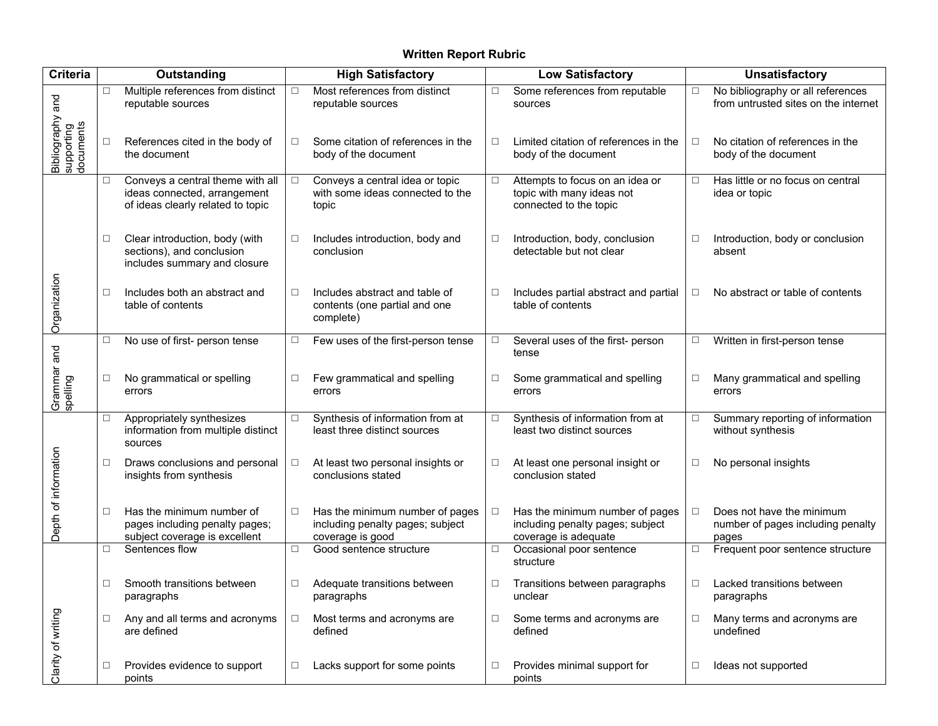# **Written Report Rubric**

| <b>Criteria</b>                         | Outstanding |                                                                                                       | <b>High Satisfactory</b> |                                                                                         | <b>Low Satisfactory</b> |                                                                                             | <b>Unsatisfactory</b> |                                                                           |
|-----------------------------------------|-------------|-------------------------------------------------------------------------------------------------------|--------------------------|-----------------------------------------------------------------------------------------|-------------------------|---------------------------------------------------------------------------------------------|-----------------------|---------------------------------------------------------------------------|
| and                                     | $\Box$      | Multiple references from distinct<br>reputable sources                                                | $\Box$                   | Most references from distinct<br>reputable sources                                      | $\Box$                  | Some references from reputable<br>sources                                                   | $\Box$                | No bibliography or all references<br>from untrusted sites on the internet |
| Bibliography<br>supporting<br>documents | $\Box$      | References cited in the body of<br>the document                                                       | $\Box$                   | Some citation of references in the<br>body of the document                              | □                       | Limited citation of references in the<br>body of the document                               | $\Box$                | No citation of references in the<br>body of the document                  |
|                                         | $\Box$      | Conveys a central theme with all<br>ideas connected, arrangement<br>of ideas clearly related to topic | $\Box$                   | Conveys a central idea or topic<br>with some ideas connected to the<br>topic            | $\Box$                  | Attempts to focus on an idea or<br>topic with many ideas not<br>connected to the topic      | $\Box$                | Has little or no focus on central<br>idea or topic                        |
|                                         | $\Box$      | Clear introduction, body (with<br>sections), and conclusion<br>includes summary and closure           | □                        | Includes introduction, body and<br>conclusion                                           | □                       | Introduction, body, conclusion<br>detectable but not clear                                  | $\Box$                | Introduction, body or conclusion<br>absent                                |
| Organization                            | $\Box$      | Includes both an abstract and<br>table of contents                                                    | $\Box$                   | Includes abstract and table of<br>contents (one partial and one<br>complete)            | □                       | Includes partial abstract and partial<br>table of contents                                  | $\Box$                | No abstract or table of contents                                          |
|                                         | $\Box$      | No use of first- person tense                                                                         | $\Box$                   | Few uses of the first-person tense                                                      | □                       | Several uses of the first- person<br>tense                                                  | □                     | Written in first-person tense                                             |
| Grammar and<br>spelling                 | $\Box$      | No grammatical or spelling<br>errors                                                                  | □                        | Few grammatical and spelling<br>errors                                                  | □                       | Some grammatical and spelling<br>errors                                                     | $\Box$                | Many grammatical and spelling<br>errors                                   |
|                                         | $\Box$      | Appropriately synthesizes<br>information from multiple distinct<br>sources                            | $\Box$                   | Synthesis of information from at<br>least three distinct sources                        | $\Box$                  | Synthesis of information from at<br>least two distinct sources                              | $\Box$                | Summary reporting of information<br>without synthesis                     |
| Depth of information                    | $\Box$      | Draws conclusions and personal<br>insights from synthesis                                             | $\Box$                   | At least two personal insights or<br>conclusions stated                                 | $\Box$                  | At least one personal insight or<br>conclusion stated                                       | $\Box$                | No personal insights                                                      |
|                                         | $\Box$      | Has the minimum number of<br>pages including penalty pages;<br>subject coverage is excellent          | □                        | Has the minimum number of pages<br>including penalty pages; subject<br>coverage is good | $\Box$                  | Has the minimum number of pages<br>including penalty pages; subject<br>coverage is adequate | $\Box$                | Does not have the minimum<br>number of pages including penalty<br>pages   |
|                                         | $\Box$      | Sentences flow                                                                                        | $\Box$                   | Good sentence structure                                                                 | $\Box$                  | Occasional poor sentence<br>structure                                                       | $\Box$                | Frequent poor sentence structure                                          |
|                                         | $\Box$      | Smooth transitions between<br>paragraphs                                                              | □                        | Adequate transitions between<br>paragraphs                                              | □                       | Transitions between paragraphs<br>unclear                                                   | $\Box$                | Lacked transitions between<br>paragraphs                                  |
| Clarity of writing                      | $\Box$      | Any and all terms and acronyms<br>are defined                                                         | $\Box$                   | Most terms and acronyms are<br>defined                                                  | $\Box$                  | Some terms and acronyms are<br>defined                                                      | $\Box$                | Many terms and acronyms are<br>undefined                                  |
|                                         | $\Box$      | Provides evidence to support<br>points                                                                | $\Box$                   | Lacks support for some points                                                           | $\Box$                  | Provides minimal support for<br>points                                                      | $\Box$                | Ideas not supported                                                       |